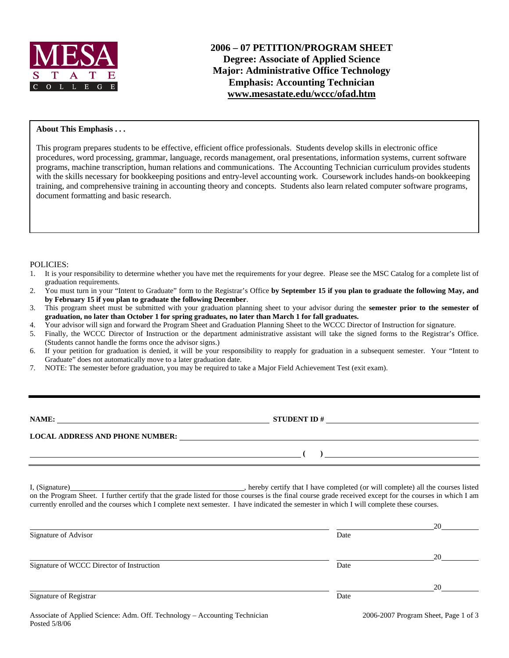

### **About This Emphasis . . .**

This program prepares students to be effective, efficient office professionals. Students develop skills in electronic office procedures, word processing, grammar, language, records management, oral presentations, information systems, current software programs, machine transcription, human relations and communications. The Accounting Technician curriculum provides students with the skills necessary for bookkeeping positions and entry-level accounting work. Coursework includes hands-on bookkeeping training, and comprehensive training in accounting theory and concepts. Students also learn related computer software programs, document formatting and basic research.

#### POLICIES:

- 1. It is your responsibility to determine whether you have met the requirements for your degree. Please see the MSC Catalog for a complete list of graduation requirements.
- 2. You must turn in your "Intent to Graduate" form to the Registrar's Office **by September 15 if you plan to graduate the following May, and by February 15 if you plan to graduate the following December**.
- 3. This program sheet must be submitted with your graduation planning sheet to your advisor during the **semester prior to the semester of graduation, no later than October 1 for spring graduates, no later than March 1 for fall graduates.**
- 4. Your advisor will sign and forward the Program Sheet and Graduation Planning Sheet to the WCCC Director of Instruction for signature.
- 5. Finally, the WCCC Director of Instruction or the department administrative assistant will take the signed forms to the Registrar's Office. (Students cannot handle the forms once the advisor signs.)
- 6. If your petition for graduation is denied, it will be your responsibility to reapply for graduation in a subsequent semester. Your "Intent to Graduate" does not automatically move to a later graduation date.
- 7. NOTE: The semester before graduation, you may be required to take a Major Field Achievement Test (exit exam).

| NAME:                                  | <b>STUDENT ID#</b> |
|----------------------------------------|--------------------|
| <b>LOCAL ADDRESS AND PHONE NUMBER:</b> |                    |
|                                        |                    |

I, (Signature) , hereby certify that I have completed (or will complete) all the courses listed on the Program Sheet. I further certify that the grade listed for those courses is the final course grade received except for the courses in which I am currently enrolled and the courses which I complete next semester. I have indicated the semester in which I will complete these courses.

|                                           |                                                                   | 20                                 |
|-------------------------------------------|-------------------------------------------------------------------|------------------------------------|
| Signature of Advisor                      | Date                                                              |                                    |
|                                           |                                                                   | 20                                 |
| Signature of WCCC Director of Instruction | Date                                                              |                                    |
|                                           |                                                                   | 20                                 |
| <b>Signature of Registrar</b>             | Date                                                              |                                    |
|                                           | $\bullet$ $\circ$ $\bullet$ $\bullet$ $\circ$ $\bullet$ $\bullet$ | $\sim$ $\sim$ $\sim$ $\sim$ $\sim$ |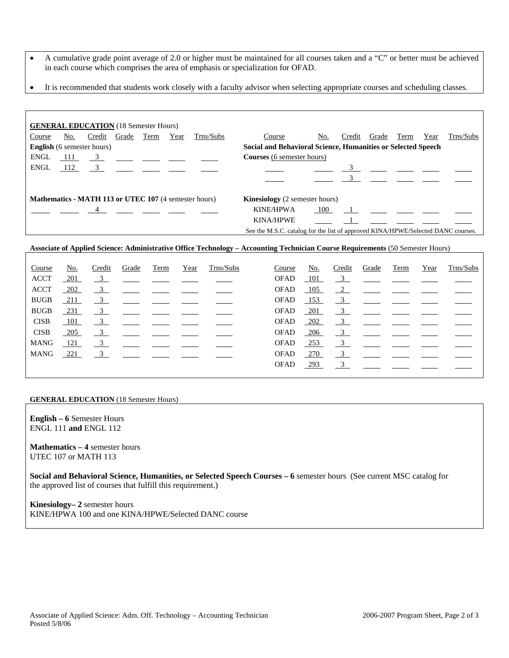- A cumulative grade point average of 2.0 or higher must be maintained for all courses taken and a "C" or better must be achieved in each course which comprises the area of emphasis or specialization for OFAD.
- It is recommended that students work closely with a faculty advisor when selecting appropriate courses and scheduling classes.

|             |     | <b>GENERAL EDUCATION</b> (18 Semester Hours)                               |              |      |      |                                                       |                                                                                  |     |        |                                                                                                                                                                                                                                                                                                  |      |      |           |
|-------------|-----|----------------------------------------------------------------------------|--------------|------|------|-------------------------------------------------------|----------------------------------------------------------------------------------|-----|--------|--------------------------------------------------------------------------------------------------------------------------------------------------------------------------------------------------------------------------------------------------------------------------------------------------|------|------|-----------|
| Course      | No. |                                                                            | Credit Grade | Term | Year | Trns/Subs                                             | Course                                                                           | No. | Credit | Grade                                                                                                                                                                                                                                                                                            | Term | Year | Trns/Subs |
|             |     | <b>English</b> (6 semester hours)                                          |              |      |      |                                                       | Social and Behavioral Science, Humanities or Selected Speech                     |     |        |                                                                                                                                                                                                                                                                                                  |      |      |           |
| <b>ENGL</b> |     | $\frac{111}{2}$ $\frac{3}{2}$ $\frac{11}{2}$ $\frac{11}{2}$ $\frac{11}{2}$ |              |      |      |                                                       | <b>Courses</b> (6 semester hours)                                                |     |        |                                                                                                                                                                                                                                                                                                  |      |      |           |
| <b>ENGL</b> |     |                                                                            |              |      |      | $112 \t 3$                                            |                                                                                  |     |        | $\overline{3}$                                                                                                                                                                                                                                                                                   |      |      |           |
|             |     |                                                                            |              |      |      |                                                       |                                                                                  |     |        |                                                                                                                                                                                                                                                                                                  |      |      |           |
|             |     |                                                                            |              |      |      |                                                       |                                                                                  |     |        |                                                                                                                                                                                                                                                                                                  |      |      |           |
|             |     |                                                                            |              |      |      | Mathematics - MATH 113 or UTEC 107 (4 semester hours) | <b>Kinesiology</b> (2 semester hours)                                            |     |        |                                                                                                                                                                                                                                                                                                  |      |      |           |
|             |     |                                                                            |              |      |      |                                                       | <b>KINE/HPWA</b>                                                                 | 100 |        | $\mathbf{1}$ and $\mathbf{1}$ and $\mathbf{1}$ and $\mathbf{1}$ and $\mathbf{1}$ and $\mathbf{1}$ and $\mathbf{1}$ and $\mathbf{1}$ and $\mathbf{1}$ and $\mathbf{1}$ and $\mathbf{1}$ and $\mathbf{1}$ and $\mathbf{1}$ and $\mathbf{1}$ and $\mathbf{1}$ and $\mathbf{1}$ and $\mathbf{1}$ and |      |      |           |
|             |     |                                                                            |              |      |      |                                                       | <b>KINA/HPWE</b>                                                                 |     |        |                                                                                                                                                                                                                                                                                                  |      |      |           |
|             |     |                                                                            |              |      |      |                                                       | See the M.S.C. catalog for the list of approved KINA/HPWE/Selected DANC courses. |     |        |                                                                                                                                                                                                                                                                                                  |      |      |           |

#### **Associate of Applied Science: Administrative Office Technology – Accounting Technician Course Requirements** (50 Semester Hours)

| Course      | No.        | Credit                  | Grade | Term | Year | Trns/Subs | Course      | No.        | Credit        | Grade                                                                                                                                                                                                                                                                                                               | Term | Year | Trns/Subs |
|-------------|------------|-------------------------|-------|------|------|-----------|-------------|------------|---------------|---------------------------------------------------------------------------------------------------------------------------------------------------------------------------------------------------------------------------------------------------------------------------------------------------------------------|------|------|-----------|
| <b>ACCT</b> | <u>201</u> | $\frac{3}{2}$           |       |      |      |           | <b>OFAD</b> | 101        |               | $\frac{3}{2}$ $\frac{3}{2}$ $\frac{3}{2}$ $\frac{3}{2}$ $\frac{3}{2}$ $\frac{3}{2}$ $\frac{3}{2}$ $\frac{3}{2}$ $\frac{3}{2}$ $\frac{3}{2}$ $\frac{3}{2}$ $\frac{3}{2}$ $\frac{3}{2}$ $\frac{3}{2}$ $\frac{3}{2}$ $\frac{3}{2}$ $\frac{3}{2}$ $\frac{3}{2}$ $\frac{3}{2}$ $\frac{3}{2}$ $\frac{3}{2}$ $\frac{3}{2}$ |      |      |           |
| <b>ACCT</b> | 202        | $\frac{3}{2}$           |       |      |      |           | <b>OFAD</b> | 105        | $\frac{2}{2}$ |                                                                                                                                                                                                                                                                                                                     |      |      |           |
| <b>BUGB</b> | $-211$     | $\overline{\mathbf{3}}$ |       |      |      |           | <b>OFAD</b> | 153        | $\frac{3}{2}$ |                                                                                                                                                                                                                                                                                                                     |      |      |           |
| <b>BUGB</b> | 231        | 3                       |       |      |      |           | <b>OFAD</b> | 201        | 3             |                                                                                                                                                                                                                                                                                                                     |      |      |           |
| <b>CISB</b> | 101        | $\frac{3}{2}$           |       |      |      |           | <b>OFAD</b> | 202        |               | $\overline{3}$                                                                                                                                                                                                                                                                                                      |      |      |           |
| <b>CISB</b> | 205        | 3                       |       |      |      |           | <b>OFAD</b> | 206        | $\mathbf{3}$  |                                                                                                                                                                                                                                                                                                                     |      |      |           |
| <b>MANG</b> | 121        | $\overline{\mathbf{3}}$ |       |      |      |           | <b>OFAD</b> | <u>253</u> |               | $\overline{3}$                                                                                                                                                                                                                                                                                                      |      |      |           |
| <b>MANG</b> | 221        | 3                       |       |      |      |           | <b>OFAD</b> | <u>270</u> | 3             |                                                                                                                                                                                                                                                                                                                     |      |      |           |
|             |            |                         |       |      |      |           | <b>OFAD</b> | 293        |               | $\overline{3}$                                                                                                                                                                                                                                                                                                      |      |      |           |
|             |            |                         |       |      |      |           |             |            |               |                                                                                                                                                                                                                                                                                                                     |      |      |           |

#### **GENERAL EDUCATION** (18 Semester Hours)

**English – 6** Semester Hours ENGL 111 **and** ENGL 112

**Mathematics – 4** semester hours UTEC 107 or MATH 113

**Social and Behavioral Science, Humanities, or Selected Speech Courses – 6** semester hours (See current MSC catalog for the approved list of courses that fulfill this requirement.)

**Kinesiology– 2** semester hours KINE/HPWA 100 and one KINA/HPWE/Selected DANC course